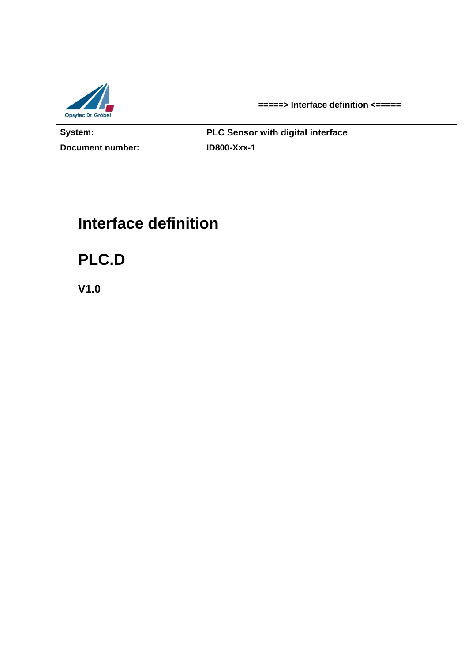| $\mathbb{Z}$<br>Opsytec Dr. Gröbel | $\equiv$ ====> Interface definition $\le$ ===== |
|------------------------------------|-------------------------------------------------|
| System:                            | <b>PLC Sensor with digital interface</b>        |
| Document number:                   | <b>ID800-Xxx-1</b>                              |

# **Interface definition**

**PLC.D**

**V1.0**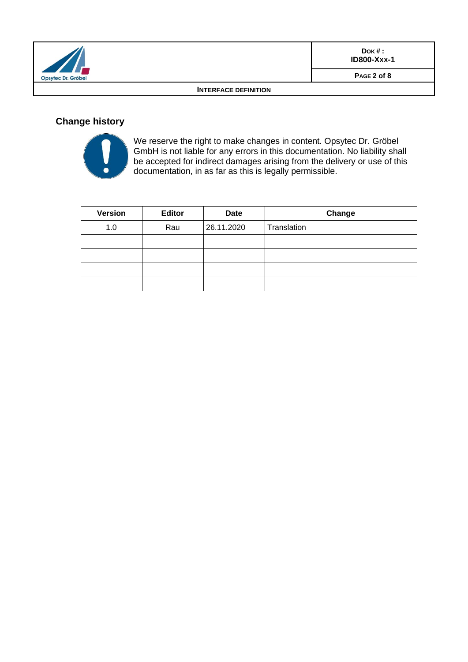|                                  | $DOK#$ :<br><b>ID800-Xxx-1</b> |
|----------------------------------|--------------------------------|
| $\sqrt{1}$<br>Opsytec Dr. Gröbel | PAGE 2 of 8                    |
| <b>INTERFACE DEFINITION</b>      |                                |

## **Change history**



We reserve the right to make changes in content. Opsytec Dr. Gröbel GmbH is not liable for any errors in this documentation. No liability shall be accepted for indirect damages arising from the delivery or use of this documentation, in as far as this is legally permissible.

| <b>Version</b> | <b>Editor</b> | <b>Date</b> | Change      |
|----------------|---------------|-------------|-------------|
| 1.0            | Rau           | 26.11.2020  | Translation |
|                |               |             |             |
|                |               |             |             |
|                |               |             |             |
|                |               |             |             |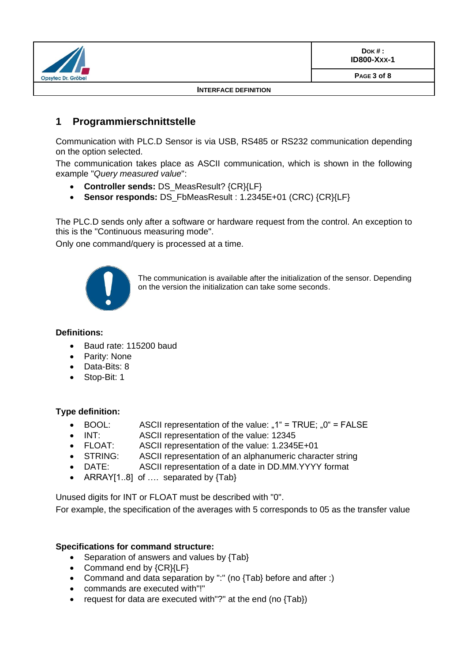|                                  | $DOK#$ :<br><b>ID800-Xxx-1</b> |
|----------------------------------|--------------------------------|
| $\sqrt{1}$<br>Opsytec Dr. Gröbel | PAGE 3 of 8                    |
| <b>INTERFACE DEFINITION</b>      |                                |

## **1 Programmierschnittstelle**

Communication with PLC.D Sensor is via USB, RS485 or RS232 communication depending on the option selected.

The communication takes place as ASCII communication, which is shown in the following example "*Query measured value*":

- **Controller sends:** DS\_MeasResult? {CR}{LF}
- **Sensor responds:** DS\_FbMeasResult : 1.2345E+01 (CRC) {CR}{LF}

The PLC.D sends only after a software or hardware request from the control. An exception to this is the "Continuous measuring mode".

Only one command/query is processed at a time.



The communication is available after the initialization of the sensor. Depending on the version the initialization can take some seconds.

#### **Definitions:**

- Baud rate: 115200 baud
- Parity: None
- Data-Bits: 8
- Stop-Bit: 1

#### **Type definition:**

- BOOL: ASCII representation of the value: " $1^{\circ}$  = TRUE; " $0^{\circ}$  = FALSE
- INT: ASCII representation of the value: 12345
- FLOAT: ASCII representation of the value: 1.2345E+01
- STRING: ASCII representation of an alphanumeric character string
- DATE: ASCII representation of a date in DD.MM.YYYY format
- ARRAY[1..8] of .... separated by {Tab}

Unused digits for INT or FLOAT must be described with "0".

For example, the specification of the averages with 5 corresponds to 05 as the transfer value

#### **Specifications for command structure:**

- Separation of answers and values by {Tab}
- Command end by {CR}{LF}
- Command and data separation by ":" (no {Tab} before and after :)
- commands are executed with"!"
- request for data are executed with"?" at the end (no {Tab})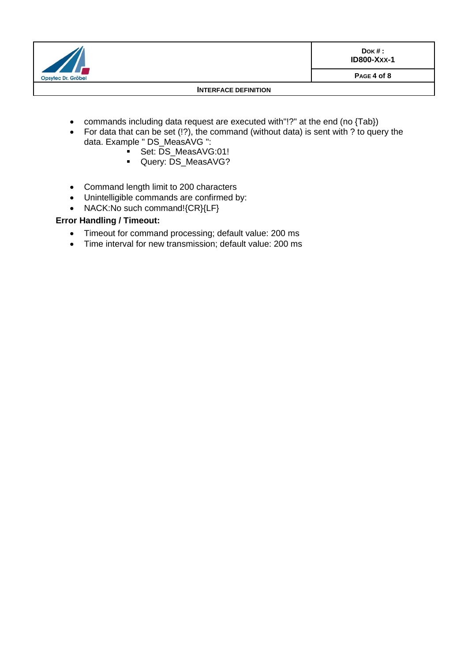

#### **INTERFACE DEFINITION**

- commands including data request are executed with"!?" at the end (no {Tab})
- For data that can be set (!?), the command (without data) is sent with ? to query the data. Example " DS\_MeasAVG ":
	- Set: DS\_MeasAVG:01!
		- Query: DS\_MeasAVG?
- Command length limit to 200 characters
- Unintelligible commands are confirmed by:
- NACK:No such command!{CR}{LF}

#### **Error Handling / Timeout:**

- Timeout for command processing; default value: 200 ms
- Time interval for new transmission; default value: 200 ms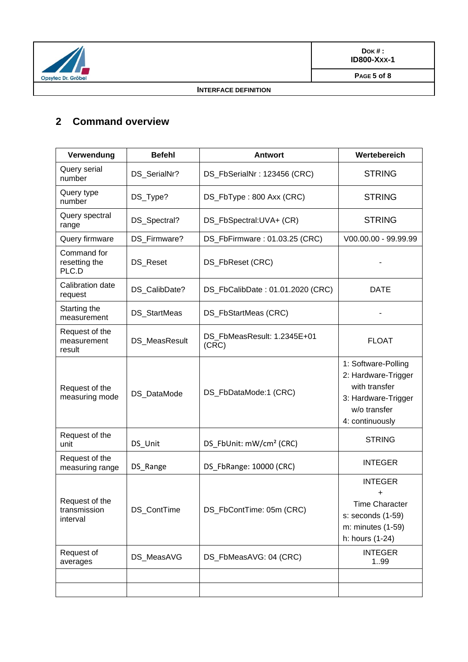

#### **INTERFACE DEFINITION**

## **2 Command overview**

| Verwendung                                 | <b>Befehl</b>       | <b>Antwort</b>                       | Wertebereich                                                                                                          |
|--------------------------------------------|---------------------|--------------------------------------|-----------------------------------------------------------------------------------------------------------------------|
| Query serial<br>number                     | DS_SerialNr?        | DS_FbSerialNr: 123456 (CRC)          | <b>STRING</b>                                                                                                         |
| Query type<br>number                       | DS_Type?            | DS_FbType: 800 Axx (CRC)             | <b>STRING</b>                                                                                                         |
| Query spectral<br>range                    | DS_Spectral?        | DS_FbSpectral:UVA+ (CR)              | <b>STRING</b>                                                                                                         |
| Query firmware                             | DS_Firmware?        | DS_FbFirmware: 01.03.25 (CRC)        | V00.00.00 - 99.99.99                                                                                                  |
| Command for<br>resetting the<br>PLC.D      | DS_Reset            | DS_FbReset (CRC)                     |                                                                                                                       |
| Calibration date<br>request                | DS_CalibDate?       | DS_FbCalibDate: 01.01.2020 (CRC)     | <b>DATE</b>                                                                                                           |
| Starting the<br>measurement                | <b>DS</b> StartMeas | DS_FbStartMeas (CRC)                 |                                                                                                                       |
| Request of the<br>measurement<br>result    | DS_MeasResult       | DS FbMeasResult: 1.2345E+01<br>(CRC) | <b>FLOAT</b>                                                                                                          |
| Request of the<br>measuring mode           | DS_DataMode         | DS_FbDataMode:1 (CRC)                | 1: Software-Polling<br>2: Hardware-Trigger<br>with transfer<br>3: Hardware-Trigger<br>w/o transfer<br>4: continuously |
| Request of the<br>unit                     | DS_Unit             | DS_FbUnit: mW/cm <sup>2</sup> (CRC)  | <b>STRING</b>                                                                                                         |
| Request of the<br>measuring range          | DS_Range            | DS FbRange: 10000 (CRC)              | <b>INTEGER</b>                                                                                                        |
| Request of the<br>transmission<br>interval | DS_ContTime         | DS_FbContTime: 05m (CRC)             | <b>INTEGER</b><br>+<br><b>Time Character</b><br>s: seconds (1-59)<br>m: minutes (1-59)<br>h: hours (1-24)             |
| Request of<br>averages                     | DS_MeasAVG          | DS_FbMeasAVG: 04 (CRC)               | <b>INTEGER</b><br>199                                                                                                 |
|                                            |                     |                                      |                                                                                                                       |
|                                            |                     |                                      |                                                                                                                       |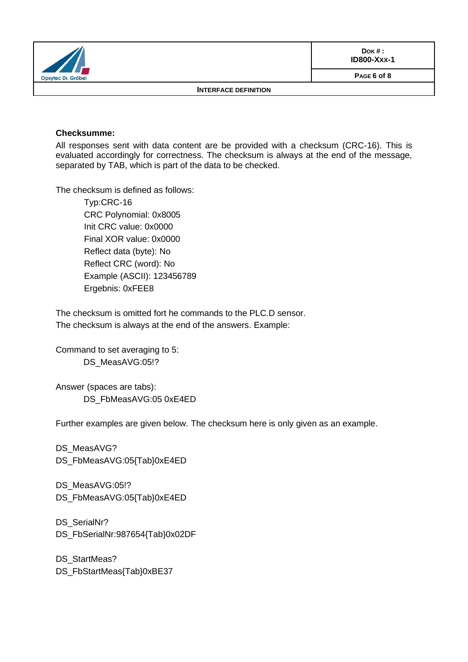|                             | $DOK#$ :<br><b>ID800-Xxx-1</b> |
|-----------------------------|--------------------------------|
| Opsytec Dr. Gröbel          | PAGE 6 of 8                    |
| <b>INTERFACE DEFINITION</b> |                                |

#### **Checksumme:**

All responses sent with data content are be provided with a checksum (CRC-16). This is evaluated accordingly for correctness. The checksum is always at the end of the message, separated by TAB, which is part of the data to be checked.

The checksum is defined as follows:

Typ:CRC-16 CRC Polynomial: 0x8005 Init CRC value: 0x0000 Final XOR value: 0x0000 Reflect data (byte): No Reflect CRC (word): No Example (ASCII): 123456789 Ergebnis: 0xFEE8

The checksum is omitted fort he commands to the PLC.D sensor. The checksum is always at the end of the answers. Example:

Command to set averaging to 5: DS\_MeasAVG:05!?

Answer (spaces are tabs): DS\_FbMeasAVG:05 0xE4ED

Further examples are given below. The checksum here is only given as an example.

DS\_MeasAVG? DS\_FbMeasAVG:05{Tab}0xE4ED

DS\_MeasAVG:05!? DS\_FbMeasAVG:05{Tab}0xE4ED

DS\_SerialNr? DS\_FbSerialNr:987654{Tab}0x02DF

DS\_StartMeas? DS\_FbStartMeas{Tab}0xBE37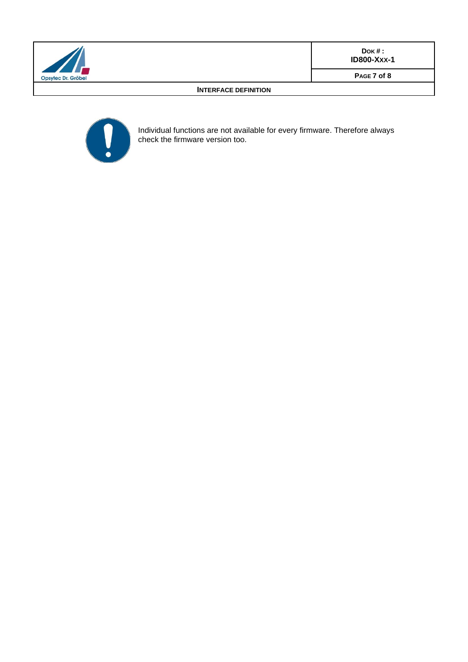

**DOK # : ID800-XXX-1**

**PAGE 7 of 8**

#### **INTERFACE DEFINITION**



Individual functions are not available for every firmware. Therefore always check the firmware version too.